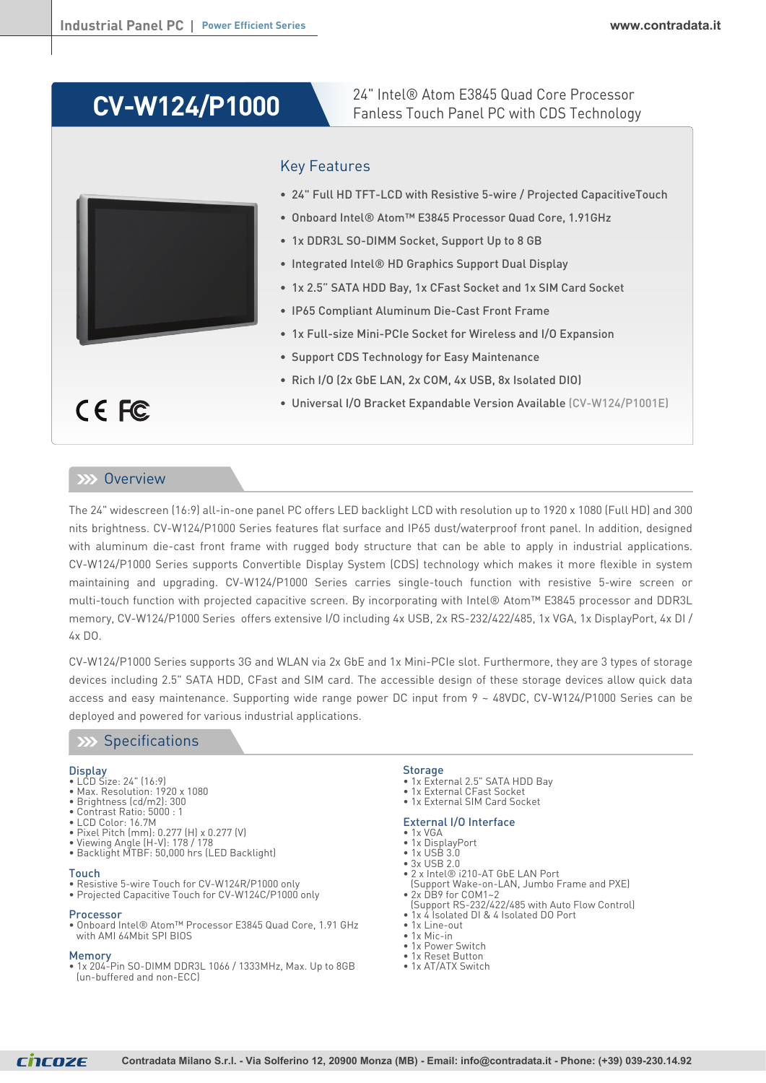# **CV-W124/P1000**

24" Intel® Atom E3845 Quad Core Processor Fanless Touch Panel PC with CDS Technology



## Key Features

- 24" Full HD TFT-LCD with Resistive 5-wire / Projected CapacitiveTouch
- Onboard Intel® Atom™ E3845 Processor Quad Core, 1.91GHz
- 1x DDR3L SO-DIMM Socket, Support Up to 8 GB
- Integrated Intel® HD Graphics Support Dual Display
- 1x 2.5" SATA HDD Bay, 1x CFast Socket and 1x SIM Card Socket
- IP65 Compliant Aluminum Die-Cast Front Frame
- 1x Full-size Mini-PCIe Socket for Wireless and I/O Expansion
- Support CDS Technology for Easy Maintenance
- Rich I/O (2x GbE LAN, 2x COM, 4x USB, 8x Isolated DIO)
- Universal I/O Bracket Expandable Version Available (CV-W124/P1001E)

### **XXX** Overview

CE FC

The 24" widescreen (16:9) all-in-one panel PC offers LED backlight LCD with resolution up to 1920 x 1080 (Full HD) and 300 nits brightness. CV-W124/P1000 Series features flat surface and IP65 dust/waterproof front panel. In addition, designed with aluminum die-cast front frame with rugged body structure that can be able to apply in industrial applications. CV-W124/P1000 Series supports Convertible Display System (CDS) technology which makes it more flexible in system maintaining and upgrading. CV-W124/P1000 Series carries single-touch function with resistive 5-wire screen or multi-touch function with projected capacitive screen. By incorporating with Intel® Atom™ E3845 processor and DDR3L memory, CV-W124/P1000 Series offers extensive I/O including 4x USB, 2x RS-232/422/485, 1x VGA, 1x DisplayPort, 4x DI /  $4x$  DO.

CV-W124/P1000 Series supports 3G and WLAN via 2x GbE and 1x Mini-PCIe slot. Furthermore, they are 3 types of storage devices including 2.5" SATA HDD, CFast and SIM card. The accessible design of these storage devices allow quick data access and easy maintenance. Supporting wide range power DC input from 9 ~ 48VDC, CV-W124/P1000 Series can be deployed and powered for various industrial applications.

### **XXX** Specifications

#### **Display**

- LCD Size: 24" (16:9)
- Max. Resolution: 1920 x 1080
- Brightness (cd/m2): 300 • Contrast Ratio: 5000 : 1
- LCD Color: 16.7M
- Pixel Pitch (mm): 0.277 (H) x 0.277 (V)
- Viewing Angle (H-V): 178 / 178
- Backlight MTBF: 50,000 hrs (LED Backlight)

#### Touch

- Resistive 5-wire Touch for CV-W124R/P1000 only
- Projected Capacitive Touch for CV-W124C/P1000 only

#### Processor

• Onboard Intel® Atom™ Processor E3845 Quad Core, 1.91 GHz with AMI 64Mbit SPI BIOS

Memory • 1x 204-Pin SO-DIMM DDR3L 1066 / 1333MHz, Max. Up to 8GB (un-buffered and non-ECC)

#### **Storage**

- 1x External 2.5" SATA HDD Bay
- 1x External CFast Socket
- 1x External SIM Card Socket

#### External I/O Interface

- 1x VGA • 1x DisplayPort
- 1x USB 3.0
- 3x USB 2.0
- 2 x Intel® i210-AT GbE LAN Port
- (Support Wake-on-LAN, Jumbo Frame and PXE) • 2x DB9 for COM1~2
- (Support RS-232/422/485 with Auto Flow Control)
- 1x 4 Isolated DI & 4 Isolated DO Port
- 1x Line-out
- $\bullet$  1x Mic-in
- 1x Power Switch • 1x Reset Button
- 1x AT/ATX Switch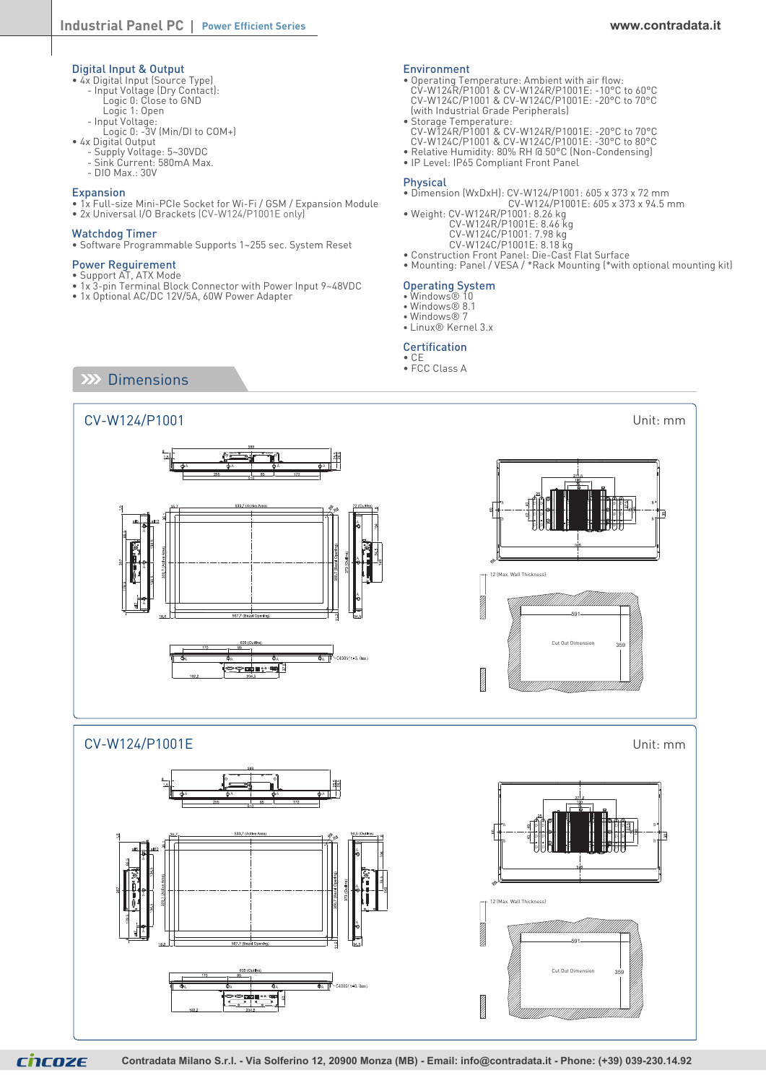- Digital Input & Output 4x Digital Input (Source Type)
	- Input Voltage (Dry Contact):
	- Logic 0: Close to GND Logic 1: Open
	- Input Voltage:
	- Logic 0: -3V (Min/DI to COM+)
- 4x Digital Output
	- Supply Voltage: 5~30VDC
	- Sink Current: 580mA Max.
	- DIO Max.: 30V

#### Expansion

- 1x Full-size Mini-PCIe Socket for Wi-Fi / GSM / Expansion Module
- 2x Universal I/O Brackets (CV-W124/P1001E only)

#### Watchdog Timer

• Software Programmable Supports 1~255 sec. System Reset

- Power Reguirement
- Support AT, ATX Mode
- 1x 3-pin Terminal Block Connector with Power Input 9~48VDC
- 1x Optional AC/DC 12V/5A, 60W Power Adapter

#### Environment

- Operating Temperature: Ambient with air flow: CV-W124R/P1001 & CV-W124R/P1001E: -10°C to 60°C CV-W124C/P1001 & CV-W124C/P1001E: -20°C to 70°C (with Industrial Grade Peripherals)
- Storage Temperature: CV-W124R/P1001 & CV-W124R/P1001E: -20°C to 70°C CV-W124C/P1001 & CV-W124C/P1001E: -30°C to 80°C
- Relative Humidity: 80% RH @ 50°C (Non-Condensing)
- IP Level: IP65 Compliant Front Panel

#### Physical

- Dimension (WxDxH): CV-W124/P1001: 605 x 373 x 72 mm CV-W124/P1001E: 605 x 373 x 94.5 mm
- Weight: CV-W124R/P1001: 8.26 kg
	- CV-W124R/P1001E: 8.46 kg CV-W124C/P1001: 7.98 kg
	- CV-W124C/P1001E: 8.18 kg
- Construction Front Panel: Die-Cast Flat Surface • Mounting: Panel / VESA / \*Rack Mounting (\*with optional mounting kit)

### Operating System

- Windows® 10
- Windows® 8.1
- Windows® 7 • Linux® Kernel 3.x
- 

#### Certification • CE

• FCC Class A